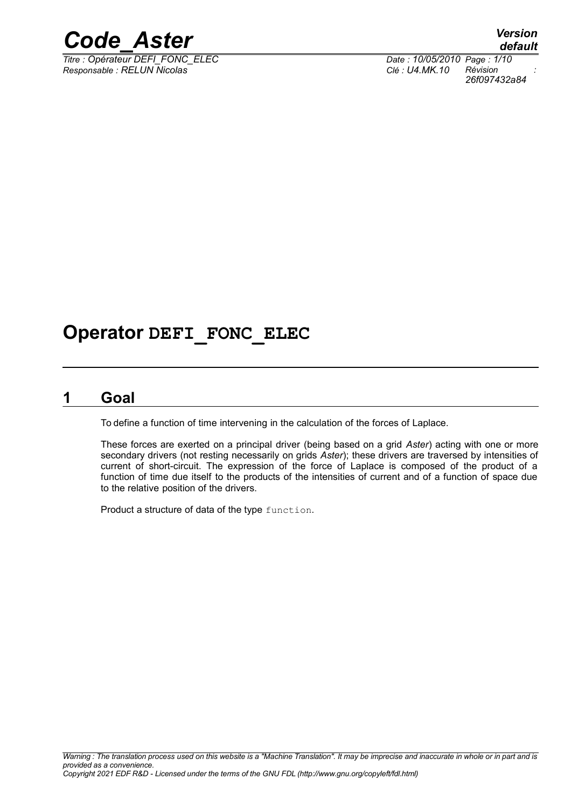

*Titre : Opérateur DEFI\_FONC\_ELEC Date : 10/05/2010 Page : 1/10 Responsable : RELUN Nicolas Clé : U4.MK.10 Révision :*

*default 26f097432a84*

## **Operator DEFI\_FONC\_ELEC**

### **1 Goal**

To define a function of time intervening in the calculation of the forces of Laplace.

These forces are exerted on a principal driver (being based on a grid *Aster*) acting with one or more secondary drivers (not resting necessarily on grids *Aster*); these drivers are traversed by intensities of current of short-circuit. The expression of the force of Laplace is composed of the product of a function of time due itself to the products of the intensities of current and of a function of space due to the relative position of the drivers.

Product a structure of data of the type function.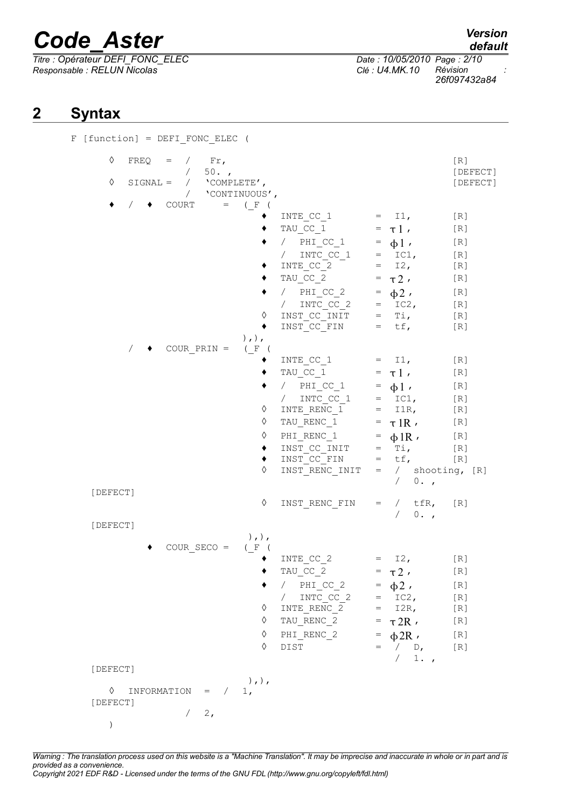*Titre : Opérateur DEFI\_FONC\_ELEC Date : 10/05/2010 Page : 2/10 Responsable : RELUN Nicolas Clé : U4.MK.10 Révision :*

```
default
```
*26f097432a84*

### **2 Syntax**

| ♦             |             | $FREQ = / Fr,$<br>$\sqrt{2}$<br>$50.$ , |                                               |                                                                                                                                                                                                                                                                                                                 |                                                                                                                                                              | [R]<br>[DEFECT]                                                      |
|---------------|-------------|-----------------------------------------|-----------------------------------------------|-----------------------------------------------------------------------------------------------------------------------------------------------------------------------------------------------------------------------------------------------------------------------------------------------------------------|--------------------------------------------------------------------------------------------------------------------------------------------------------------|----------------------------------------------------------------------|
| ♦             |             | SIGNAL = $/$ 'COMPLETE',<br>$\sqrt{2}$  | 'CONTINUOUS',                                 |                                                                                                                                                                                                                                                                                                                 |                                                                                                                                                              | [DEFECT]                                                             |
|               |             | $\bullet$ COURT                         | $=$ (F (<br>♦<br>٠<br>$),$ , $,$              | INTE CC $1 = I1$ ,<br>TAU CC 1 = $\tau$ 1,<br>/ $PHI_CC_1 = \phi1$ ,<br>/ $INTC_{C_1}C_1$ = IC1,<br>INTE CC_2<br>TAU CC 2<br>/ PHI CC_2 = $\phi 2$ ,<br>/ INTC_CC_2 = IC2,<br>INST_CC_INIT = Ti,<br>INST CC FIN = $tf$ ,                                                                                        | $=$ 12,<br>$= \tau 2$ ,                                                                                                                                      | [R]<br>[R]<br>[R]<br>[R]<br>[R]<br>[R]<br>[R]<br>[R]<br>[R]<br>$[R]$ |
|               |             | COUR PRIN $=$                           | ( F (<br>♦<br>♦<br>♦<br>٠<br>٠<br>♦           | INTE CC $1 = I1$ ,<br>TAU CC_1 = $\tau$ ],<br>/ $PHI_CC_1 = \phi 1$ ,<br>$\begin{array}{cccc} / & {\tt INTC\_CC\_1} & = & {\tt IC1,} \\ {\tt INTE\_RENC\_1} & = & {\tt I1R,} \end{array}$<br>TAU_RENC_1 = $\tau$ 1R,<br>PHI_RENC_1 = $\phi$ 1R,<br>INST CC INIT $=$ Ti,<br>$INT CC$ FIN = tf,<br>INST_RENC INIT | $=$ / shooting, $[R]$<br>$/ 0.$ ,                                                                                                                            | [R]<br>[R]<br>[R]<br>[R]<br>[R]<br>[R]<br>[R]<br>[R]<br>[R]          |
| [DEFECT]      |             |                                         | ♦                                             | INST RENC FIN =                                                                                                                                                                                                                                                                                                 | / $tfR,$<br>$0.$ ,<br>$\sqrt{2}$                                                                                                                             | [R]                                                                  |
| [DEFECT]      |             | $COUR$ $SECO =$                         | $),$ , $)$ ,<br>(F (<br>٠<br>♦<br>♦<br>♦<br>♦ | INTE CC 2<br>TAU_CC_2<br>/ $PHI_CC_2$<br>INTC CC 2<br>$\sqrt{2}$<br>INTE RENC 2<br>TAU_RENC_2<br>PHI RENC 2<br>DIST                                                                                                                                                                                             | $I2$ ,<br>$\mathbf{r} = \mathbf{r}$<br>$= \tau 2$ ,<br>$= \phi2$ ,<br>$= \text{IC2}$ ,<br>$=$ I2R,<br>$=$ $\tau 2R$ ,<br>$= \phi 2R$ ,<br>$=$ / $D$ ,<br>/1. | [R]<br>[R]<br>[R]<br>[R]<br>[R]<br>[R]<br>[R]<br>[R]                 |
| [DEFECT]      |             |                                         | $),$ , $)$ ,                                  |                                                                                                                                                                                                                                                                                                                 |                                                                                                                                                              |                                                                      |
| ♦<br>[DEFECT] | INFORMATION | $=$ /<br>2,<br>$\sqrt{2}$               | 1 <sub>1</sub>                                |                                                                                                                                                                                                                                                                                                                 |                                                                                                                                                              |                                                                      |

*Warning : The translation process used on this website is a "Machine Translation". It may be imprecise and inaccurate in whole or in part and is provided as a convenience. Copyright 2021 EDF R&D - Licensed under the terms of the GNU FDL (http://www.gnu.org/copyleft/fdl.html)*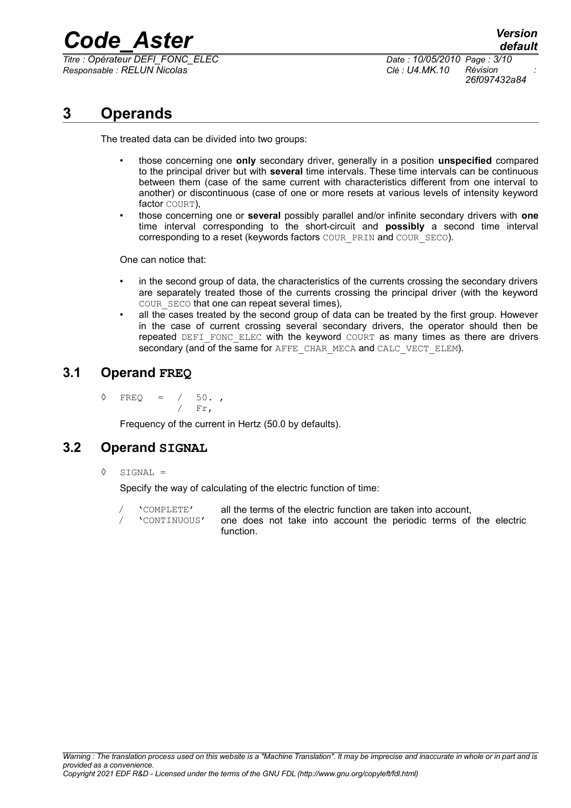*Titre : Opérateur DEFI\_FONC\_ELEC Date : 10/05/2010 Page : 3/10 Responsable : RELUN Nicolas Clé : U4.MK.10 Révision :*

*26f097432a84*

### **3 Operands**

The treated data can be divided into two groups:

- those concerning one **only** secondary driver, generally in a position **unspecified** compared to the principal driver but with **several** time intervals. These time intervals can be continuous between them (case of the same current with characteristics different from one interval to another) or discontinuous (case of one or more resets at various levels of intensity keyword factor COURT),
- those concerning one or **several** possibly parallel and/or infinite secondary drivers with **one** time interval corresponding to the short-circuit and **possibly** a second time interval corresponding to a reset (keywords factors COUR\_PRIN and COUR\_SECO).

One can notice that:

- in the second group of data, the characteristics of the currents crossing the secondary drivers are separately treated those of the currents crossing the principal driver (with the keyword COUR SECO that one can repeat several times),
- all the cases treated by the second group of data can be treated by the first group. However in the case of current crossing several secondary drivers, the operator should then be repeated DEFI\_FONC\_ELEC with the keyword COURT as many times as there are drivers secondary (and of the same for AFFE\_CHAR\_MECA and CALC\_VECT\_ELEM).

#### **3.1 Operand FREQ**

 $\sqrt{50}$  FREQ =  $/50$ . / Fr,

Frequency of the current in Hertz (50.0 by defaults).

#### **3.2 Operand SIGNAL**

 $\Diamond$  STGNAL =

Specify the way of calculating of the electric function of time:

- / 'COMPLETE' all the terms of the electric function are taken into account,
- / 'CONTINUOUS' one does not take into account the periodic terms of the electric function.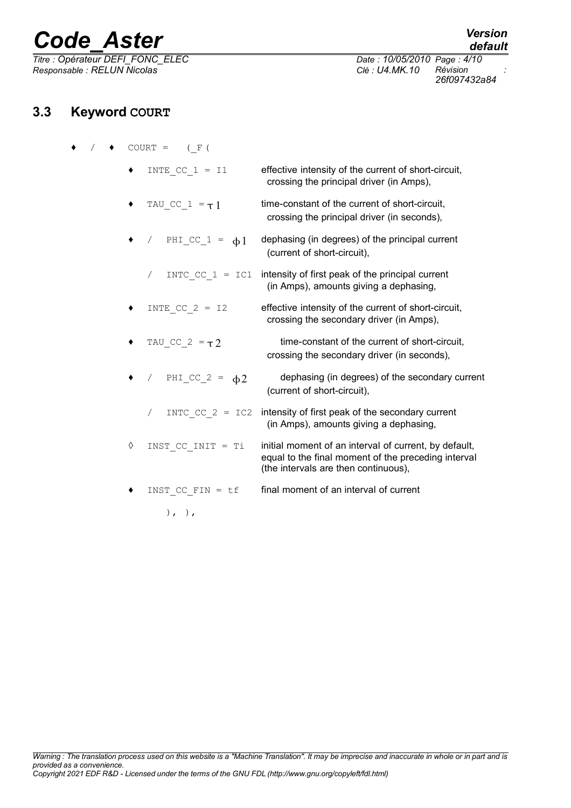*Titre : Opérateur DEFI\_FONC\_ELEC Date : 10/05/2010 Page : 4/10*  $Responsible : RELUN$  *Nicolas* 

### **3.3 Keyword COURT**

|  |            | $COURT = (F()$        |                                                                                                                                                      |
|--|------------|-----------------------|------------------------------------------------------------------------------------------------------------------------------------------------------|
|  | ٠          | INTE CC $1 = 11$      | effective intensity of the current of short-circuit,<br>crossing the principal driver (in Amps),                                                     |
|  | ٠          | TAU CC $1 = \tau 1$   | time-constant of the current of short-circuit,<br>crossing the principal driver (in seconds),                                                        |
|  |            | / PHICC $1 = \phi 1$  | dephasing (in degrees) of the principal current<br>(current of short-circuit),                                                                       |
|  |            | $\sqrt{2}$            | INTC $CC 1 = IC1$ intensity of first peak of the principal current<br>(in Amps), amounts giving a dephasing,                                         |
|  | ٠          | INTE CC $2 = 12$      | effective intensity of the current of short-circuit,<br>crossing the secondary driver (in Amps),                                                     |
|  | ٠          | TAU CC $2 = \tau 2$   | time-constant of the current of short-circuit,<br>crossing the secondary driver (in seconds),                                                        |
|  |            | / $PHI_CC_2 = \phi 2$ | dephasing (in degrees) of the secondary current<br>(current of short-circuit),                                                                       |
|  |            | / INTC CC $2 = IC2$   | intensity of first peak of the secondary current<br>(in Amps), amounts giving a dephasing,                                                           |
|  | $\Diamond$ | INST CC INIT = Ti     | initial moment of an interval of current, by default,<br>equal to the final moment of the preceding interval<br>(the intervals are then continuous), |
|  | ٠          | INST CC FIN = $tf$    | final moment of an interval of current                                                                                                               |
|  |            | $), \, , \,$          |                                                                                                                                                      |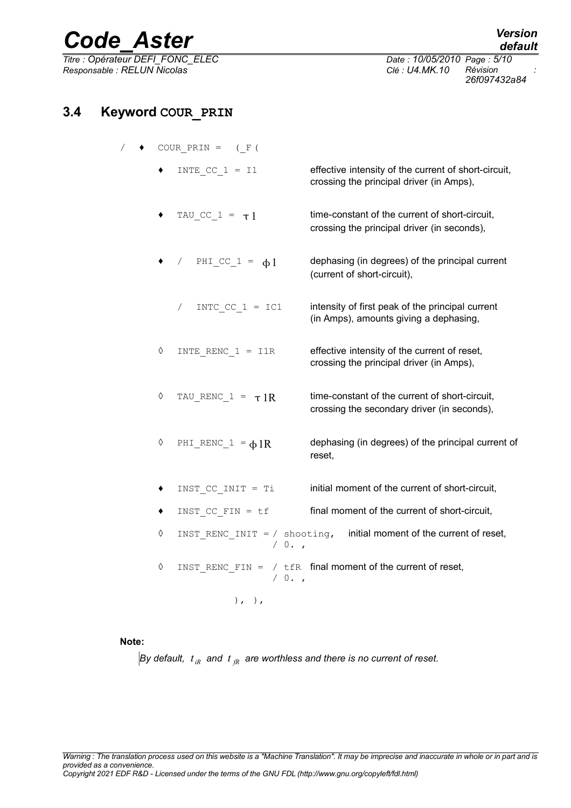*Titre : Opérateur DEFI\_FONC\_ELEC Date : 10/05/2010 Page : 5/10 Responsable : RELUN Nicolas Clé : U4.MK.10 Révision :*

*26f097432a84*

#### **3.4 Keyword COUR\_PRIN**

- $/ \rightarrow$  COUR PRIN = (F)
	- $INTE_CC_1 = I1$  effective intensity of the current of short-circuit, crossing the principal driver (in Amps),
	- TAU CC  $1 = \tau 1$  time-constant of the current of short-circuit, crossing the principal driver (in seconds),
		- / PHI CC  $1 = \phi_1$  dephasing (in degrees) of the principal current (current of short-circuit),
		- / INTC CC  $1 = IC1$  intensity of first peak of the principal current (in Amps), amounts giving a dephasing,
	- $\Diamond$  INTE RENC 1 = I1R effective intensity of the current of reset, crossing the principal driver (in Amps),
	- $\Diamond$  TAU RENC  $1 = \tau 1R$  time-constant of the current of short-circuit, crossing the secondary driver (in seconds),
	- $\Diamond$  PHI RENC 1 =  $\bigoplus$  IR dephasing (in degrees) of the principal current of reset,
	- INST CC INIT =  $Ti$  initial moment of the current of short-circuit,
	- $\bullet$  INST CC FIN = tf final moment of the current of short-circuit.
	- $\Diamond$  INST RENC INIT = / shooting, initial moment of the current of reset,  $/ 0.$
	- $\Diamond$  INST RENC FIN = / tfR final moment of the current of reset,  $/ 0.$

 $),$  ),

#### **Note:**

 $B$ y default,  $\,t_{iR}^{}\,$  and  $\,t_{iR}^{}\,$  are worthless and there is no current of reset.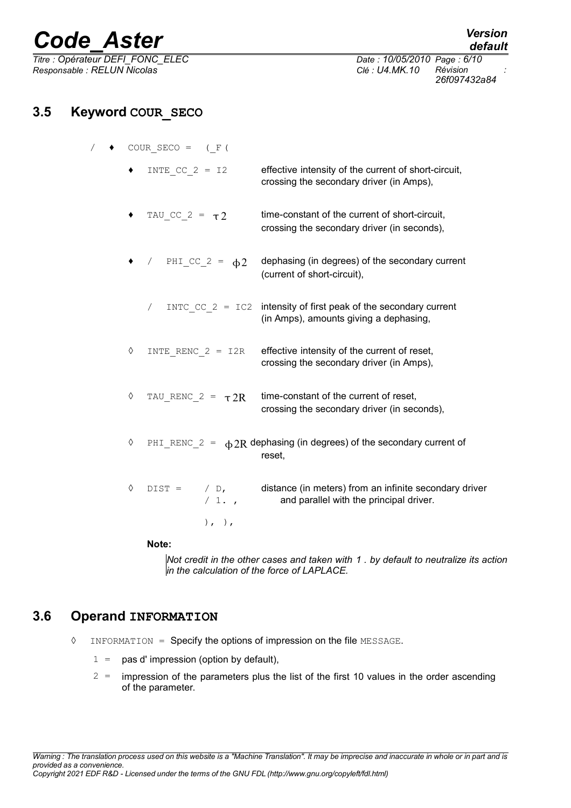*Titre : Opérateur DEFI\_FONC\_ELEC Date : 10/05/2010 Page : 6/10 Responsable : RELUN Nicolas Clé : U4.MK.10 Révision :*

*default 26f097432a84*

## **3.5 Keyword COUR\_SECO**

|            | COUR SECO = $(F()$    |                        |                                                                                                                        |
|------------|-----------------------|------------------------|------------------------------------------------------------------------------------------------------------------------|
|            |                       | INTE CC $2 = 12$       | effective intensity of the current of short-circuit,<br>crossing the secondary driver (in Amps),                       |
| ٠          | TAU CC $2 = \tau 2$   |                        | time-constant of the current of short-circuit,<br>crossing the secondary driver (in seconds),                          |
|            | / $PHI_CC_2 = \phi 2$ |                        | dephasing (in degrees) of the secondary current<br>(current of short-circuit),                                         |
|            |                       |                        | $/$ INTC CC 2 = IC2 intensity of first peak of the secondary current<br>(in Amps), amounts giving a dephasing,         |
| $\Diamond$ |                       |                        | INTE RENC $2 = I2R$ effective intensity of the current of reset,<br>crossing the secondary driver (in Amps),           |
| ♦          |                       | TAU RENC $2 = \tau 2R$ | time-constant of the current of reset,<br>crossing the secondary driver (in seconds),                                  |
| $\Diamond$ |                       |                        | PHI_RENC_2 = $\phi$ 2R dephasing (in degrees) of the secondary current of<br>reset,                                    |
| ♦          |                       | /1.                    | $\text{DIST} =$ / D, distance (in meters) from an infinite secondary driver<br>and parallel with the principal driver. |
|            |                       | $), \, , \,$           |                                                                                                                        |
|            | Nato-                 |                        |                                                                                                                        |

#### **Note:**

*Not credit in the other cases and taken with 1 . by default to neutralize its action in the calculation of the force of LAPLACE.*

#### **3.6 Operand INFORMATION**

- ◊ INFORMATION = Specify the options of impression on the file MESSAGE.
	- $1 =$  pas d' impression (option by default),
	- $2$  = impression of the parameters plus the list of the first 10 values in the order ascending of the parameter.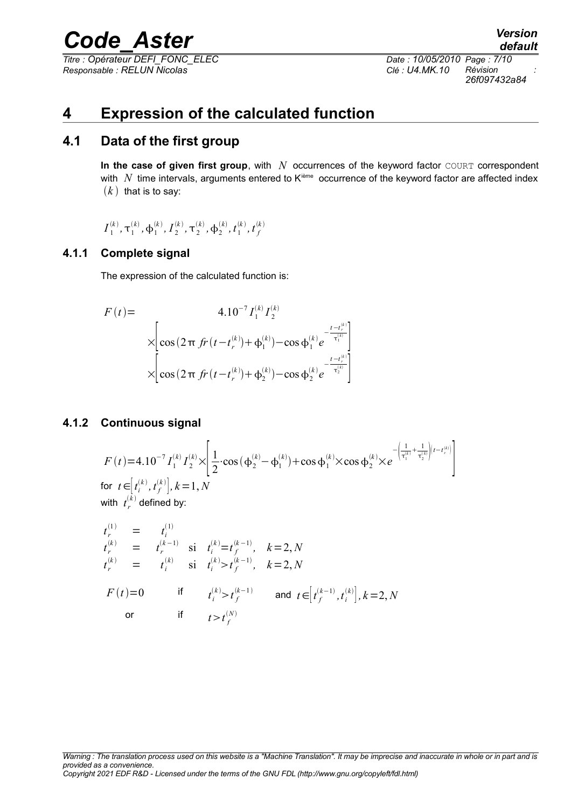*Titre : Opérateur DEFI\_FONC\_ELEC Date : 10/05/2010 Page : 7/10 Responsable : RELUN Nicolas Clé : U4.MK.10 Révision :*

*26f097432a84*

### **4 Expression of the calculated function**

#### **4.1 Data of the first group**

In the case of given first group, with *N* occurrences of the keyword factor COURT correspondent with  $N$  time intervals, arguments entered to  $K<sup>ieme</sup>$  occurrence of the keyword factor are affected index  $(k)$  that is to say:

$$
I_1^{(k)}, \tau_1^{(k)}, \boldsymbol{\varphi}_1^{(k)}, I_2^{(k)}, \tau_2^{(k)}, \boldsymbol{\varphi}_2^{(k)}, t_1^{(k)}, t_f^{(k)}
$$

#### **4.1.1 Complete signal**

The expression of the calculated function is:

$$
F(t) = 4.10^{-7} I_1^{(k)} I_2^{(k)}
$$
  
\n
$$
\times \left[ \cos(2\pi f r(t - t_r^{(k)}) + \phi_1^{(k)}) - \cos \phi_1^{(k)} e^{-\frac{t - t_r^{(k)}}{\tau_1^{(k)}}} \right]
$$
  
\n
$$
\times \left[ \cos(2\pi f r(t - t_r^{(k)}) + \phi_2^{(k)}) - \cos \phi_2^{(k)} e^{-\frac{t - t_r^{(k)}}{\tau_2^{(k)}}} \right]
$$

#### **4.1.2 Continuous signal**

$$
F(t)=4.10^{-7} I_1^{(k)} I_2^{(k)} \times \left[ \frac{1}{2} \cdot \cos(\phi_2^{(k)} - \phi_1^{(k)}) + \cos \phi_1^{(k)} \times \cos \phi_2^{(k)} \times e^{-\left(\frac{1}{\tau_1^{(k)}} + \frac{1}{\tau_2^{(k)}}\right)(t-t_{r}^{(k)})} \right]
$$
\n
$$
\text{for } t \in [t_i^{(k)}, t_f^{(k)}], k=1, N
$$
\n
$$
\text{with } t_r^{(k)} \text{ defined by:}
$$
\n
$$
t_r^{(1)} = t_i^{(1)}
$$
\n
$$
t_r^{(k)} = t_f^{(k-1)} \text{ si } t_i^{(k)} = t_f^{(k-1)}, k=2, N
$$
\n
$$
t_r^{(k)} = t_i^{(k)} \text{ si } t_i^{(k)} > t_f^{(k-1)}, k=2, N
$$
\n
$$
F(t)=0 \text{ if } t_i^{(k)} > t_i^{(k-1)} \text{ and } t \in [t_i^{(k-1)}, t_i^{(k)}], k=2, N
$$

$$
F(t)=0 \t\t \text{if} \t t_i^{(k)} > t_f^{(k-1)} \t \text{and} t \in [t_f^{(k-1)}, t_i^{(k)}], k=2,
$$
  
or \t\t \text{if} \t t > t\_f^{(N)}

*Warning : The translation process used on this website is a "Machine Translation". It may be imprecise and inaccurate in whole or in part and is provided as a convenience. Copyright 2021 EDF R&D - Licensed under the terms of the GNU FDL (http://www.gnu.org/copyleft/fdl.html)*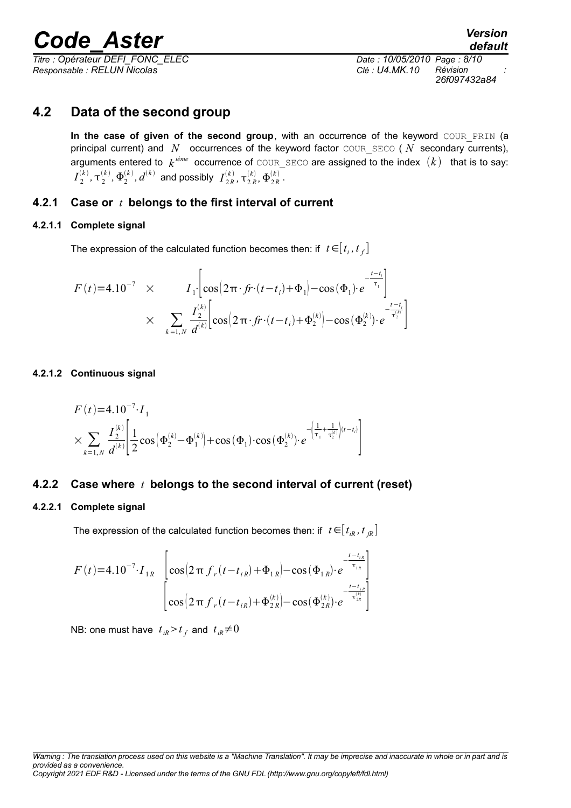*Titre : Opérateur DEFI\_FONC\_ELEC Date : 10/05/2010 Page : 8/10 Responsable : RELUN Nicolas Clé : U4.MK.10 Révision :*

#### **4.2 Data of the second group**

In the case of given of the second group, with an occurrence of the keyword COUR PRIN (a principal current) and *N* occurrences of the keyword factor COUR SECO (*N* secondary currents), arguments entered to  $\,k^{\,i\hat{e}me}\,$  occurrence of <code>COUR\_SECO</code> are assigned to the index  $\,(k)\,\,\,$  that is to say:  $I_2^0$  $\mathcal{L}_2^{(k)},\mathbf{\tau}_2^{(k)},\mathbf{\Phi}_2^{(k)},$   $d^{(k)}$  and possibly  $\;I_{2R}^{(k)}\;$  $\frac{(k)}{2R}$ ,  $\tau^{(k)}_{2R}$ ,  $\Phi^{(k)}_{2R}$ .

#### **4.2.1 Case or** *t* **belongs to the first interval of current**

#### **4.2.1.1 Complete signal**

The expression of the calculated function becomes then: if  $\;$  *t*  $\in$   $[\,t_{_{I}},t_{_{f}}]$ 

$$
F(t)=4.10^{-7} \times I_{1} \left[\cos\left(2\pi \cdot f r \cdot (t-t_{i})+\Phi_{1}\right)-\cos\left(\Phi_{1}\right) \cdot e^{-\frac{t-t_{i}}{\tau_{1}}}\right] \times \sum_{k=1,N} \frac{I_{2}^{(k)} \left[\cos\left(2\pi \cdot f r \cdot (t-t_{i})+\Phi_{2}^{(k)}\right)-\cos\left(\Phi_{2}^{(k)}\right) \cdot e^{-\frac{t-t_{i}}{\tau_{2}^{(k)}}}\right]
$$

#### **4.2.1.2 Continuous signal**

$$
F(t)=4.10^{-7} \cdot I_{1}
$$
  
\n
$$
\times \sum_{k=1,N} \frac{I_{2}^{(k)}}{d^{(k)}} \left[ \frac{1}{2} \cos \left( \Phi_{2}^{(k)} - \Phi_{1}^{(k)} \right) + \cos \left( \Phi_{1} \right) \cdot \cos \left( \Phi_{2}^{(k)} \right) \cdot e^{-\left( \frac{1}{\tau_{1}} + \frac{1}{\tau_{2}^{(k)}} \right) (t-t_{i})} \right]
$$

#### **4.2.2 Case where** *t* **belongs to the second interval of current (reset)**

#### **4.2.2.1 Complete signal**

The expression of the calculated function becomes then: if  $t \in [t_{ik}, t_{ik}]$ 

$$
F(t)=4.10^{-7} \cdot I_{1R} \left[ \cos \left(2 \pi f_r(t-t_{iR}) + \Phi_{1R}\right) - \cos \left(\Phi_{1R}\right) \cdot e^{-\frac{t-t_{iR}}{\tau_{1R}}}\right] \newline \left[ \cos \left(2 \pi f_r(t-t_{iR}) + \Phi_{2R}^{(k)}\right) - \cos \left(\Phi_{2R}^{(k)}\right) \cdot e^{-\frac{t-t_{iR}}{\tau_{2R}^{(k)}}}\right]
$$

NB: one must have  $t_{iR}$ > $t_{f}$  and  $t_{iR}$ ≠0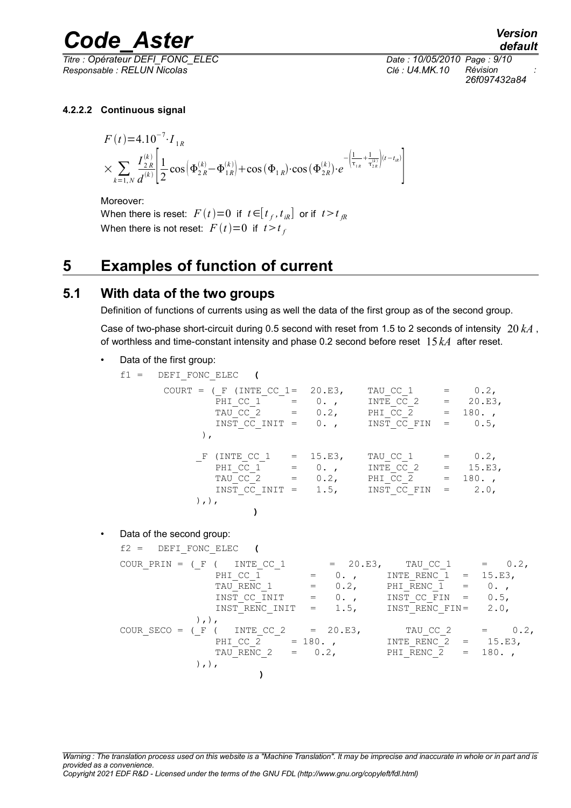*Titre : Opérateur DEFI\_FONC\_ELEC Date : 10/05/2010 Page : 9/10 Responsable : RELUN Nicolas Clé : U4.MK.10 Révision :*

*default 26f097432a84*

#### **4.2.2.2 Continuous signal**

$$
F(t)=4.10^{-7} \cdot I_{1R}
$$
  
\n
$$
\times \sum_{k=1,N} \frac{I_{2R}^{(k)}}{d^{(k)}} \left[ \frac{1}{2} \cos \left( \Phi_{2R}^{(k)} - \Phi_{1R}^{(k)} \right) + \cos \left( \Phi_{1R} \right) \cdot \cos \left( \Phi_{2R}^{(k)} \right) \cdot e^{-\left( \frac{1}{\tau_{1R}} + \frac{1}{\tau_{2R}^{(k)}} \right) (t-t_{1R})} \right]
$$

Moreover: When there is reset:  $F\left(t\right){=}0\right.$  if  $\left.t{\in}[t_{f},t_{iR}]\right.$  or if  $\left.t{>}t_{fR}\right.$ When there is not reset:  $F(t)=0$  if  $t>t<sub>f</sub>$ 

## **5 Examples of function of current**

#### **5.1 With data of the two groups**

Definition of functions of currents using as well the data of the first group as of the second group.

Case of two-phase short-circuit during 0.5 second with reset from 1.5 to 2 seconds of intensity 20 *kA* , of worthless and time-constant intensity and phase 0.2 second before reset 15 *kA* after reset.

• Data of the first group:

f1 = DEFI\_FONC\_ELEC (  
\nCOURT = (
$$
\_F
$$
 (INTE CC\_1 = 20.E3, TNTE CC\_1 = 0.2, TNTE CC\_2 = 20.E3, TAU CC\_2 = 0.2, PNIT CC\_2 = 180. ,  
\nTNST\_CC\_NIT = 0. , INST\_CC\_FIN = 0.5,   
\n).  
\nF (INTE CC\_1 = 15.E3, TAU\_CC\_1 = 0.2,   
\nPHI\_CC\_1 = 15.E3, TAU\_CC\_1 = 0.2,   
\nPHI\_CC\_1 = 0. , INTE\_CC\_2 = 15.E3,   
\nTAU\_CC\_2 = 0.2, INTE\_CC\_2 = 15.E3,   
\nTAU\_CC\_2 = 0.2, PHL\_CC\_2 = 180. ,  
\nINST\_CC\_NIT = 1.5, INST\_CC\_FIN = 2.0,

• Data of the second group:

 $),),$ 

**)**

f2 = DEFI\_FONC\_ELEC (  
\nCOUR PRIN = (
$$
\_F
$$
 ( INTE\_CC\_1) = 20.E3, TAU\_CC\_1 = 0.2,  
\nPHI\_CC\_1 = 0.2, INTE\_RENC\_1 = 15.E3,  
\nTAU\_RENC\_1 = 0.2, PHI\_RENC\_1 = 0.7,  
\nINST\_CC\_NIT = 0.7, INST\_CCFIN = 0.5,  
\nINST\_RENC\_NIT = 1.5, INST\_RENC\_FIN = 2.0,  
\n $)\_1$ ,  
\nCOUR\_SECO = ( $\_F$  ( INTE\_CC\_2 = 20.E3, TAU\_CC\_2 = 0.2,  
\nPHI\_CC\_2 = 180.7, INTE\_RENC\_2 = 15.E3,  
\nTAU\_RENC\_2 = 0.2, PHI\_RENC\_2 = 180.7